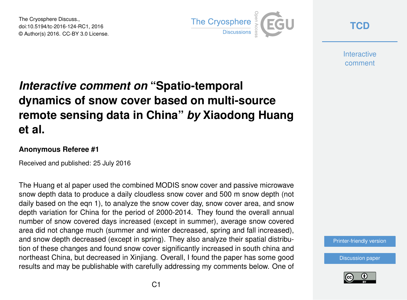The Cryosphere Discuss., doi:10.5194/tc-2016-124-RC1, 2016 © Author(s) 2016. CC-BY 3.0 License.



**[TCD](http://www.the-cryosphere-discuss.net/)**

**Interactive** comment

## *Interactive comment on* **"Spatio-temporal dynamics of snow cover based on multi-source remote sensing data in China"** *by* **Xiaodong Huang et al.**

## **Anonymous Referee #1**

Received and published: 25 July 2016

The Huang et al paper used the combined MODIS snow cover and passive microwave snow depth data to produce a daily cloudless snow cover and 500 m snow depth (not daily based on the eqn 1), to analyze the snow cover day, snow cover area, and snow depth variation for China for the period of 2000-2014. They found the overall annual number of snow covered days increased (except in summer), average snow covered area did not change much (summer and winter decreased, spring and fall increased), and snow depth decreased (except in spring). They also analyze their spatial distribution of these changes and found snow cover significantly increased in south china and northeast China, but decreased in Xinjiang. Overall, I found the paper has some good results and may be publishable with carefully addressing my comments below. One of

[Printer-friendly version](http://www.the-cryosphere-discuss.net/tc-2016-124/tc-2016-124-RC1-print.pdf)

[Discussion paper](http://www.the-cryosphere-discuss.net/tc-2016-124)

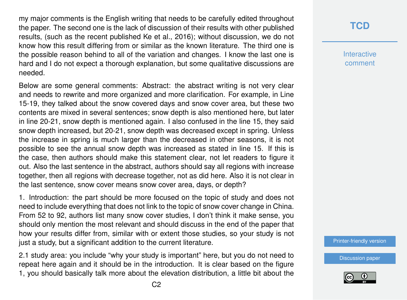my major comments is the English writing that needs to be carefully edited throughout the paper. The second one is the lack of discussion of their results with other published results, (such as the recent published Ke et al., 2016); without discussion, we do not know how this result differing from or similar as the known literature. The third one is the possible reason behind to all of the variation and changes. I know the last one is hard and I do not expect a thorough explanation, but some qualitative discussions are needed.

Below are some general comments: Abstract: the abstract writing is not very clear and needs to rewrite and more organized and more clarification. For example, in Line 15-19, they talked about the snow covered days and snow cover area, but these two contents are mixed in several sentences; snow depth is also mentioned here, but later in line 20-21, snow depth is mentioned again. I also confused in the line 15, they said snow depth increased, but 20-21, snow depth was decreased except in spring. Unless the increase in spring is much larger than the decreased in other seasons, it is not possible to see the annual snow depth was increased as stated in line 15. If this is the case, then authors should make this statement clear, not let readers to figure it out. Also the last sentence in the abstract, authors should say all regions with increase together, then all regions with decrease together, not as did here. Also it is not clear in the last sentence, snow cover means snow cover area, days, or depth?

1. Introduction: the part should be more focused on the topic of study and does not need to include everything that does not link to the topic of snow cover change in China. From 52 to 92, authors list many snow cover studies, I don't think it make sense, you should only mention the most relevant and should discuss in the end of the paper that how your results differ from, similar with or extent those studies, so your study is not just a study, but a significant addition to the current literature.

2.1 study area: you include "why your study is important" here, but you do not need to repeat here again and it should be in the introduction. It is clear based on the figure 1, you should basically talk more about the elevation distribution, a little bit about the [Printer-friendly version](http://www.the-cryosphere-discuss.net/tc-2016-124/tc-2016-124-RC1-print.pdf)



## **[TCD](http://www.the-cryosphere-discuss.net/)**

**Interactive** comment